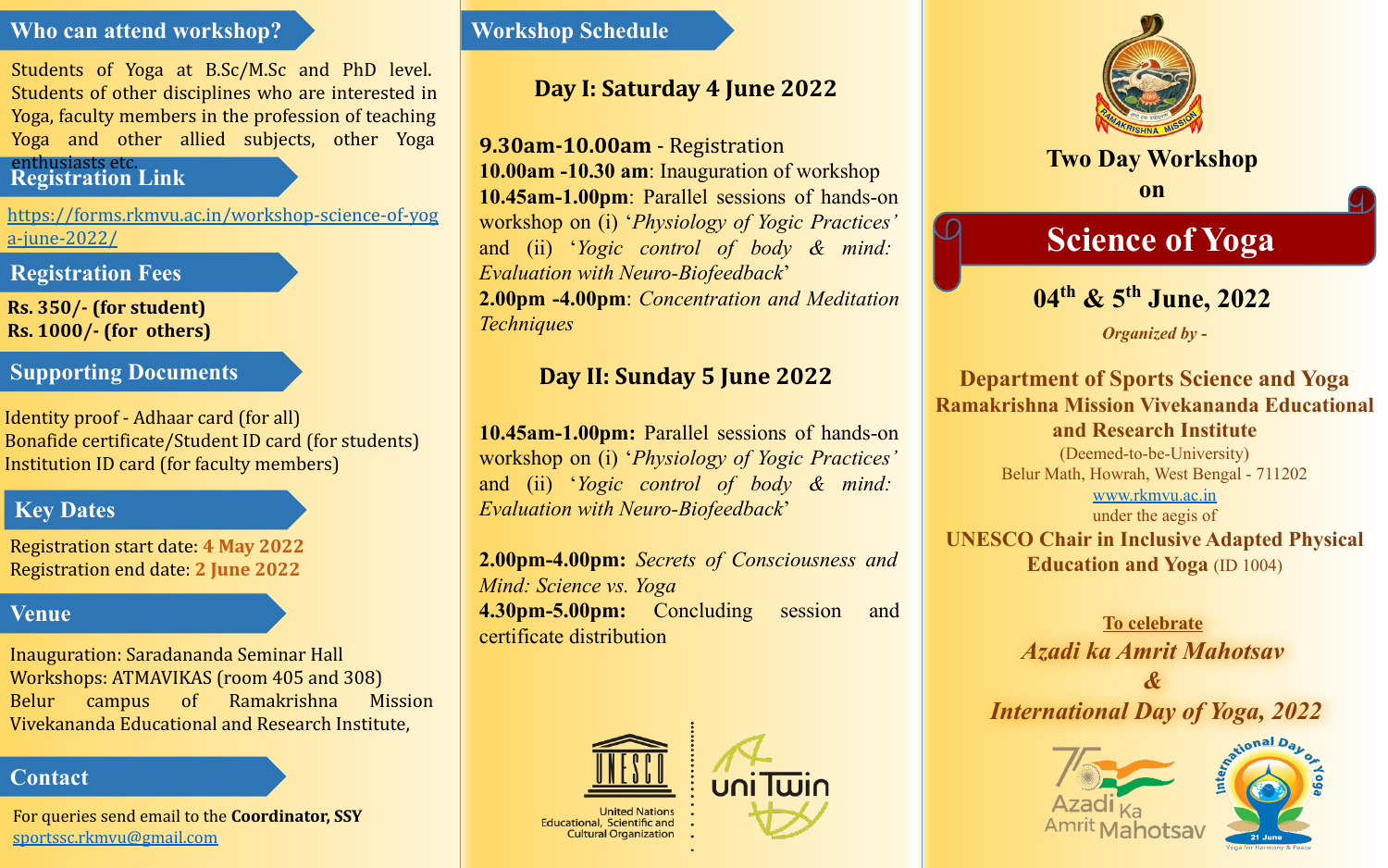### **Who can attend workshop?**

Students of Yoga at B.Sc/M.Sc and PhD level. Students of other disciplines who are interested in Yoga, faculty members in the profession of teaching Yoga and other allied subjects, other Yoga

# **Registration Link** enthusiasts etc.

[https://forms.rkmvu.ac.in/workshop-science-of-yog](https://forms.rkmvu.ac.in/workshop-science-of-yoga-june-2022/) [a-june-2022/](https://forms.rkmvu.ac.in/workshop-science-of-yoga-june-2022/)

# **Registration Fees**

**Rs. 350/- (for student) Rs. 1000/- (for others)**

# **Supporting Documents**

Identity proof - Adhaar card (for all) Bonafide certificate/Student ID card (for students) Institution ID card (for faculty members)

# **Key Dates**

Registration start date: **4 May 2022** Registration end date: **2 June 2022**

## **Venue**

Inauguration: Saradananda Seminar Hall Workshops: ATMAVIKAS (room 405 and 308) Belur campus of Ramakrishna Mission Vivekananda Educational and Research Institute,

## **Contact**

For queries send email to the **Coordinator, SSY** [sportssc.rkmvu@gmail.com](mailto:sportssc.rkmvu@gmail.com)

### **Workshop Schedule**

# **Day I: Saturday 4 June 2022**

**9.30am-10.00am** - Registration **10.00am -10.30 am**: Inauguration of workshop **10.45am-1.00pm**: Parallel sessions of hands-on workshop on (i) '*Physiology of Yogic Practices'*  and (ii) '*Yogic control of body & mind: Evaluation with Neuro-Biofeedback*' **2.00pm -4.00pm**: *Concentration and Meditation Techniques*

# **Day II: Sunday 5 June 2022**

**10.45am-1.00pm:** Parallel sessions of hands-on workshop on (i) '*Physiology of Yogic Practices'*  and (ii) '*Yogic control of body & mind: Evaluation with Neuro-Biofeedback*'

**2.00pm-4.00pm:** *Secrets of Consciousness and Mind: Science vs. Yoga* **4.30pm-5.00pm:** Concluding session and certificate distribution



United Nation: **Educational, Scientific and Cultural Organization** 



**Two Day Workshop on**

# **Science of Yoga**

# **04th & 5th June, 2022**

*Organized by -*

**Department of Sports Science and Yoga Ramakrishna Mission Vivekananda Educational and Research Institute** (Deemed-to-be-University) Belur Math, Howrah, West Bengal - 711202 [www.rkmvu.ac.in](http://www.rkmvu.ac.in) under the aegis of **UNESCO Chair in Inclusive Adapted Physical Education and Yoga** (ID 1004)

> **To celebrate** *Azadi ka Amrit Mahotsav*

*& International Day of Yoga, 2022*